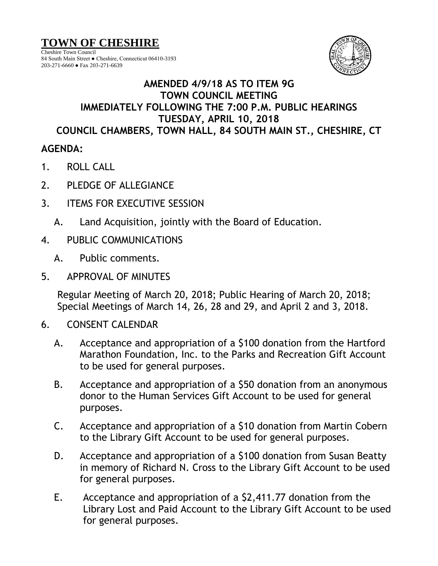## **TOWN OF CHESHIRE**

Cheshire Town Council 84 South Main Street ● Cheshire, Connecticut 06410-3193 203-271-6660 ● Fax 203-271-6639



## **AMENDED 4/9/18 AS TO ITEM 9G TOWN COUNCIL MEETING IMMEDIATELY FOLLOWING THE 7:00 P.M. PUBLIC HEARINGS TUESDAY, APRIL 10, 2018 COUNCIL CHAMBERS, TOWN HALL, 84 SOUTH MAIN ST., CHESHIRE, CT**

## **AGENDA:**

- 1. ROLL CALL
- 2. PLEDGE OF ALLEGIANCE
- 3. ITEMS FOR EXECUTIVE SESSION
	- A. Land Acquisition, jointly with the Board of Education.
- 4. PUBLIC COMMUNICATIONS
	- A. Public comments.
- 5. APPROVAL OF MINUTES

Regular Meeting of March 20, 2018; Public Hearing of March 20, 2018; Special Meetings of March 14, 26, 28 and 29, and April 2 and 3, 2018.

- 6. CONSENT CALENDAR
	- A. Acceptance and appropriation of a \$100 donation from the Hartford Marathon Foundation, Inc. to the Parks and Recreation Gift Account to be used for general purposes.
	- B. Acceptance and appropriation of a \$50 donation from an anonymous donor to the Human Services Gift Account to be used for general purposes.
	- C. Acceptance and appropriation of a \$10 donation from Martin Cobern to the Library Gift Account to be used for general purposes.
	- D. Acceptance and appropriation of a \$100 donation from Susan Beatty in memory of Richard N. Cross to the Library Gift Account to be used for general purposes.
	- E. Acceptance and appropriation of a \$2,411.77 donation from the Library Lost and Paid Account to the Library Gift Account to be used for general purposes.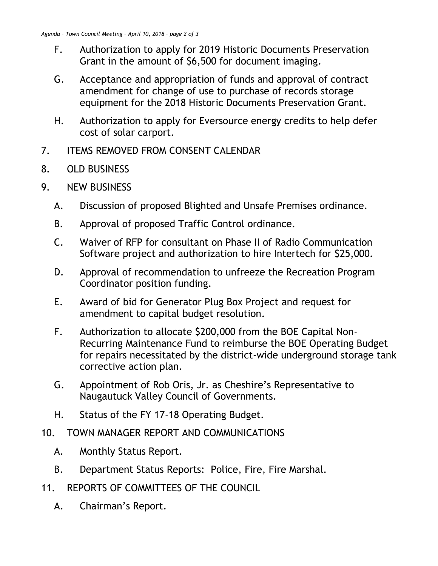- F. Authorization to apply for 2019 Historic Documents Preservation Grant in the amount of \$6,500 for document imaging.
- G. Acceptance and appropriation of funds and approval of contract amendment for change of use to purchase of records storage equipment for the 2018 Historic Documents Preservation Grant.
- H. Authorization to apply for Eversource energy credits to help defer cost of solar carport.
- 7. ITEMS REMOVED FROM CONSENT CALENDAR
- 8. OLD BUSINESS
- 9. NEW BUSINESS
	- A. Discussion of proposed Blighted and Unsafe Premises ordinance.
	- B. Approval of proposed Traffic Control ordinance.
	- C. Waiver of RFP for consultant on Phase II of Radio Communication Software project and authorization to hire Intertech for \$25,000.
	- D. Approval of recommendation to unfreeze the Recreation Program Coordinator position funding.
	- E. Award of bid for Generator Plug Box Project and request for amendment to capital budget resolution.
	- F. Authorization to allocate \$200,000 from the BOE Capital Non-Recurring Maintenance Fund to reimburse the BOE Operating Budget for repairs necessitated by the district-wide underground storage tank corrective action plan.
	- G. Appointment of Rob Oris, Jr. as Cheshire's Representative to Naugautuck Valley Council of Governments.
	- H. Status of the FY 17-18 Operating Budget.
- 10. TOWN MANAGER REPORT AND COMMUNICATIONS
	- A. Monthly Status Report.
	- B. Department Status Reports: Police, Fire, Fire Marshal.
- 11. REPORTS OF COMMITTEES OF THE COUNCIL
	- A. Chairman's Report.